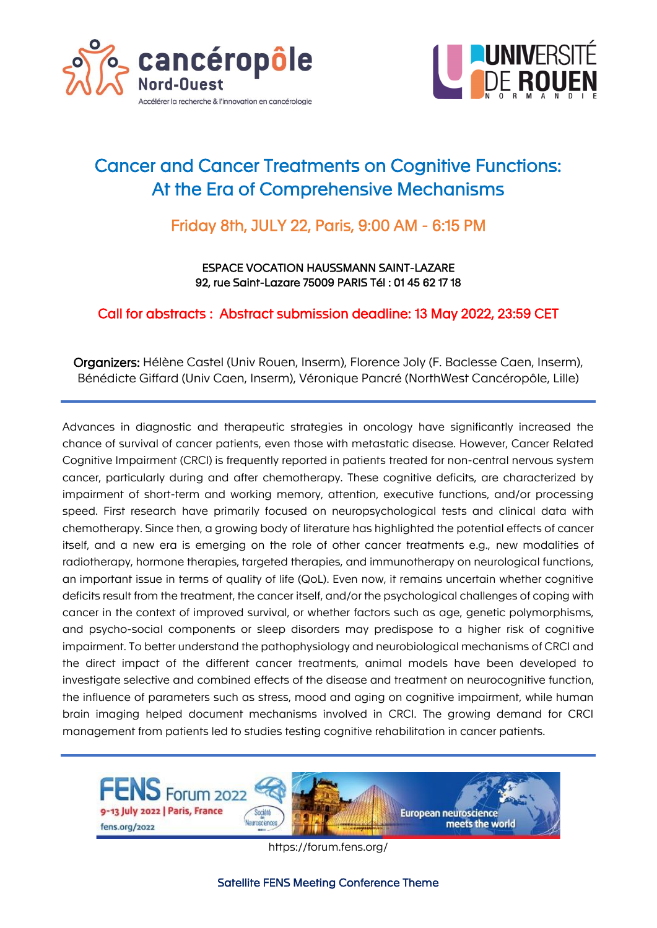



## Cancer and Cancer Treatments on Cognitive Functions: At the Era of Comprehensive Mechanisms

### Friday 8th, JULY 22, Paris, 9:00 AM - 6:15 PM

ESPACE VOCATION HAUSSMANN SAINT-LAZARE 92, rue Saint-Lazare 75009 PARIS Tél : 01 45 62 17 18

Call for abstracts : Abstract submission deadline: 13 May 2022, 23:59 CET

Organizers: Hélène Castel (Univ Rouen, Inserm), Florence Joly (F. Baclesse Caen, Inserm), Bénédicte Giffard (Univ Caen, Inserm), Véronique Pancré (NorthWest Cancéropôle, Lille)

Advances in diagnostic and therapeutic strategies in oncology have significantly increased the chance of survival of cancer patients, even those with metastatic disease. However, Cancer Related Cognitive Impairment (CRCI) is frequently reported in patients treated for non-central nervous system cancer, particularly during and after chemotherapy. These cognitive deficits, are characterized by impairment of short-term and working memory, attention, executive functions, and/or processing speed. First research have primarily focused on neuropsychological tests and clinical data with chemotherapy. Since then, a growing body of literature has highlighted the potential effects of cancer itself, and a new era is emerging on the role of other cancer treatments e.g., new modalities of radiotherapy, hormone therapies, targeted therapies, and immunotherapy on neurological functions, an important issue in terms of quality of life (QoL). Even now, it remains uncertain whether cognitive deficits result from the treatment, the cancer itself, and/or the psychological challenges of coping with cancer in the context of improved survival, or whether factors such as age, genetic polymorphisms, and psycho-social components or sleep disorders may predispose to a higher risk of cognitive impairment. To better understand the pathophysiology and neurobiological mechanisms of CRCI and the direct impact of the different cancer treatments, animal models have been developed to investigate selective and combined effects of the disease and treatment on neurocognitive function, the influence of parameters such as stress, mood and aging on cognitive impairment, while human brain imaging helped document mechanisms involved in CRCI. The growing demand for CRCI management from patients led to studies testing cognitive rehabilitation in cancer patients.



https://forum.fens.org/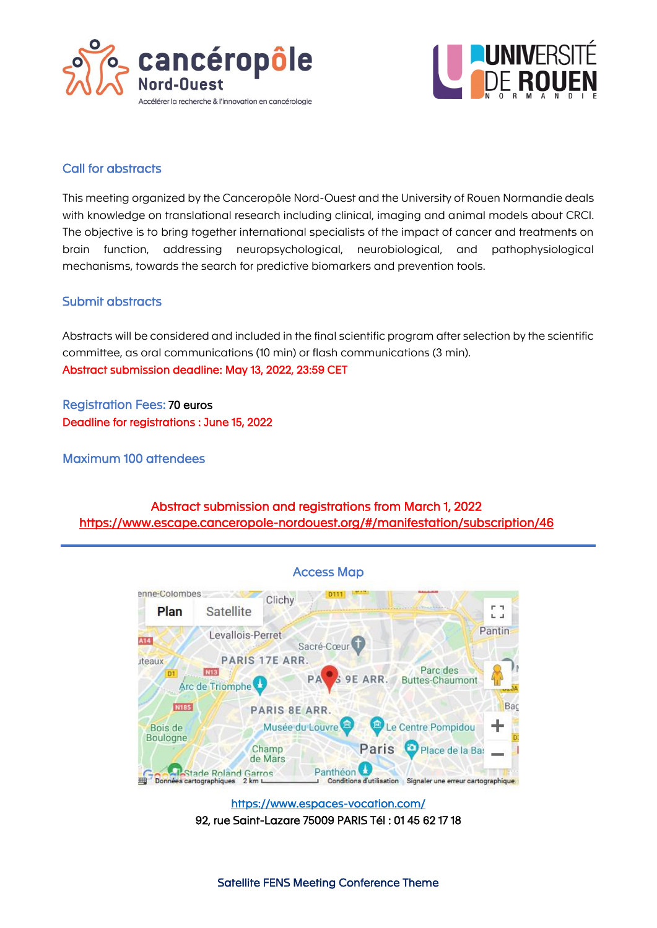



#### Call for abstracts

This meeting organized by the Canceropôle Nord-Ouest and the University of Rouen Normandie deals with knowledge on translational research including clinical, imaging and animal models about CRCI. The objective is to bring together international specialists of the impact of cancer and treatments on brain function, addressing neuropsychological, neurobiological, and pathophysiological mechanisms, towards the search for predictive biomarkers and prevention tools.

#### Submit abstracts

Abstracts will be considered and included in the final scientific program after selection by the scientific committee, as oral communications (10 min) or flash communications (3 min). Abstract submission deadline: May 13, 2022, 23:59 CET

Registration Fees: 70 euros Deadline for registrations : June 15, 2022

Maximum 100 attendees

Abstract submission and registrations from March 1, 2022 <https://www.escape.canceropole-nordouest.org/#/manifestation/subscription/46>



<https://www.espaces-vocation.com/> 92, rue Saint-Lazare 75009 PARIS Tél : 01 45 62 17 18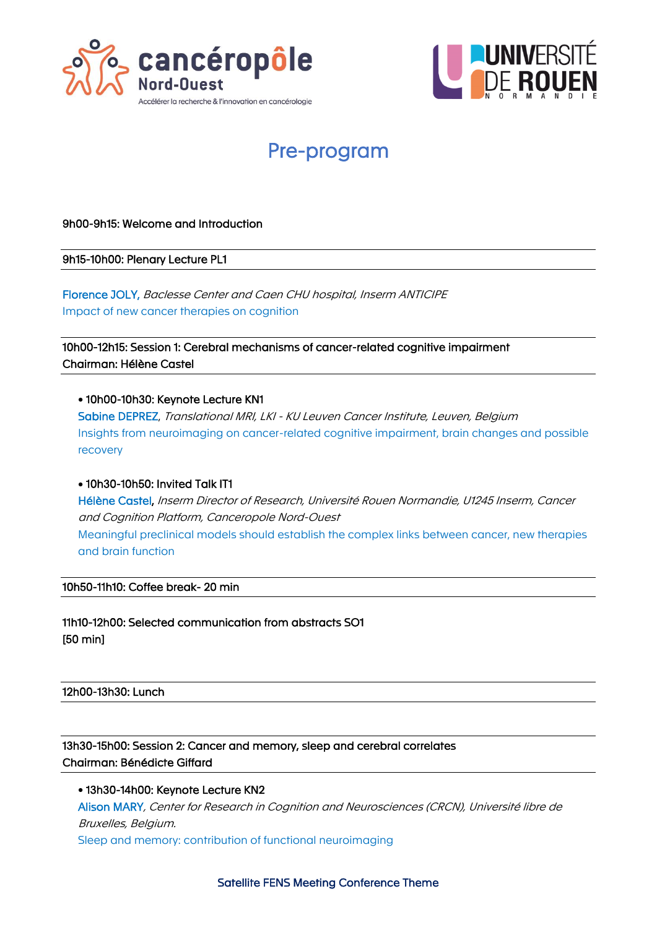



# Pre-program

#### 9h00-9h15: Welcome and Introduction

9h15-10h00: Plenary Lecture PL1

Florence JOLY, Baclesse Center and Caen CHU hospital, Inserm ANTICIPE Impact of new cancer therapies on cognition

10h00-12h15: Session 1: Cerebral mechanisms of cancer-related cognitive impairment Chairman: Hélène Castel

#### • 10h00-10h30: Keynote Lecture KN1

Sabine DEPREZ, Translational MRI, LKI - KU Leuven Cancer Institute, Leuven, Belgium Insights from neuroimaging on cancer-related cognitive impairment, brain changes and possible recovery

#### • 10h30-10h50: Invited Talk IT1

Hélène Castel, Inserm Director of Research, Université Rouen Normandie, U1245 Inserm, Cancer and Cognition Platform, Canceropole Nord-Ouest Meaningful preclinical models should establish the complex links between cancer, new therapies and brain function

#### 10h50-11h10: Coffee break- 20 min

11h10-12h00: Selected communication from abstracts SO1 [50 min]

#### 12h00-13h30: Lunch

13h30-15h00: Session 2: Cancer and memory, sleep and cerebral correlates Chairman: Bénédicte Giffard

• 13h30-14h00: Keynote Lecture KN2 Alison MARY, Center for Research in Cognition and Neurosciences (CRCN), Université libre de Bruxelles, Belgium. Sleep and memory: contribution of functional neuroimaging

Satellite FENS Meeting Conference Theme